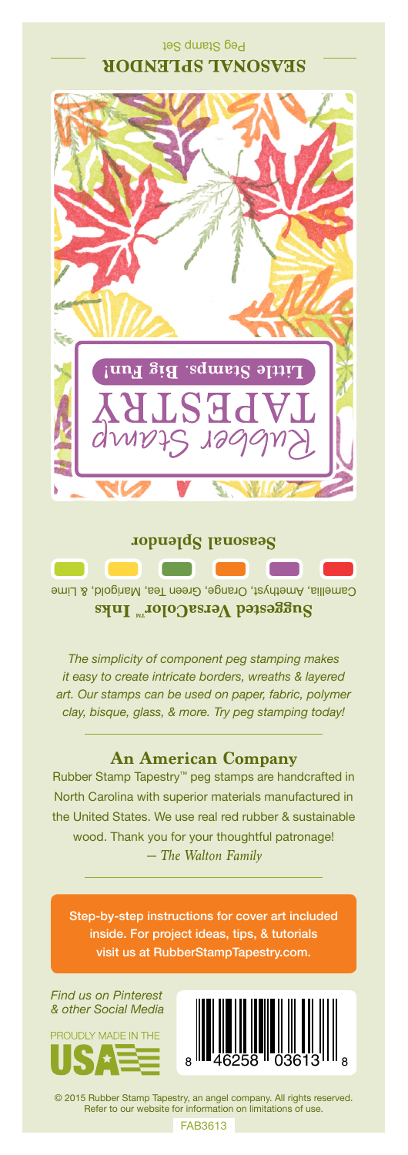## Peg Stamp Set **SEASONAL SPLENDOR**



Camellia, Amethyst, Orange, Green Tea, Marigold, & Lime **Suggested VersaColor** Inks

*The simplicity of component peg stamping makes it easy to create intricate borders, wreaths & layered art. Our stamps can be used on paper, fabric, polymer clay, bisque, glass, & more. Try peg stamping today!*

## **An American Company**

*— The Walton Family* Rubber Stamp Tapestry™ peg stamps are handcrafted in North Carolina with superior materials manufactured in the United States. We use real red rubber & sustainable wood. Thank you for your thoughtful patronage!

Step-by-step instructions for cover art included inside. For project ideas, tips, & tutorials visit us at RubberStampTapestry.com.

*Find us on Pinterest & other Social Media*





© 2015 Rubber Stamp Tapestry, an angel company. All rights reserved. Refer to our website for information on limitations of use.